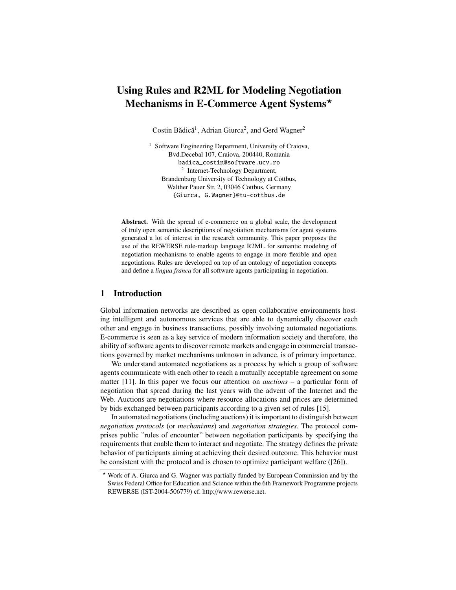# Using Rules and R2ML for Modeling Negotiation Mechanisms in E-Commerce Agent Systems\*

Costin Bădică<sup>1</sup>, Adrian Giurca<sup>2</sup>, and Gerd Wagner<sup>2</sup>

<sup>1</sup> Software Engineering Department, University of Craiova, Bvd.Decebal 107, Craiova, 200440, Romania badica\_costin@software.ucv.ro <sup>2</sup> Internet-Technology Department, Brandenburg University of Technology at Cottbus, Walther Pauer Str. 2, 03046 Cottbus, Germany {Giurca, G.Wagner}@tu-cottbus.de

Abstract. With the spread of e-commerce on a global scale, the development of truly open semantic descriptions of negotiation mechanisms for agent systems generated a lot of interest in the research community. This paper proposes the use of the REWERSE rule-markup language R2ML for semantic modeling of negotiation mechanisms to enable agents to engage in more flexible and open negotiations. Rules are developed on top of an ontology of negotiation concepts and define a *lingua franca* for all software agents participating in negotiation.

### 1 Introduction

Global information networks are described as open collaborative environments hosting intelligent and autonomous services that are able to dynamically discover each other and engage in business transactions, possibly involving automated negotiations. E-commerce is seen as a key service of modern information society and therefore, the ability of software agents to discover remote markets and engage in commercial transactions governed by market mechanisms unknown in advance, is of primary importance.

We understand automated negotiations as a process by which a group of software agents communicate with each other to reach a mutually acceptable agreement on some matter [11]. In this paper we focus our attention on *auctions* – a particular form of negotiation that spread during the last years with the advent of the Internet and the Web. Auctions are negotiations where resource allocations and prices are determined by bids exchanged between participants according to a given set of rules [15].

In automated negotiations (including auctions) it is important to distinguish between *negotiation protocols* (or *mechanisms*) and *negotiation strategies*. The protocol comprises public "rules of encounter" between negotiation participants by specifying the requirements that enable them to interact and negotiate. The strategy defines the private behavior of participants aiming at achieving their desired outcome. This behavior must be consistent with the protocol and is chosen to optimize participant welfare ([26]).

<sup>?</sup> Work of A. Giurca and G. Wagner was partially funded by European Commission and by the Swiss Federal Office for Education and Science within the 6th Framework Programme projects REWERSE (IST-2004-506779) cf. http://www.rewerse.net.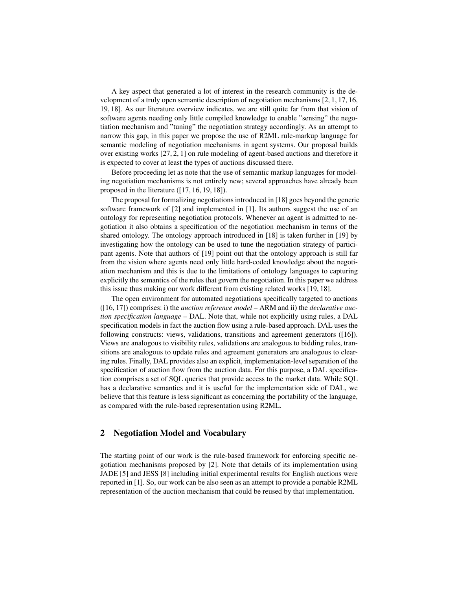A key aspect that generated a lot of interest in the research community is the development of a truly open semantic description of negotiation mechanisms [2, 1, 17, 16, 19, 18]. As our literature overview indicates, we are still quite far from that vision of software agents needing only little compiled knowledge to enable "sensing" the negotiation mechanism and "tuning" the negotiation strategy accordingly. As an attempt to narrow this gap, in this paper we propose the use of R2ML rule-markup language for semantic modeling of negotiation mechanisms in agent systems. Our proposal builds over existing works [27, 2, 1] on rule modeling of agent-based auctions and therefore it is expected to cover at least the types of auctions discussed there.

Before proceeding let as note that the use of semantic markup languages for modeling negotiation mechanisms is not entirely new; several approaches have already been proposed in the literature ([17, 16, 19, 18]).

The proposal for formalizing negotiations introduced in [18] goes beyond the generic software framework of [2] and implemented in [1]. Its authors suggest the use of an ontology for representing negotiation protocols. Whenever an agent is admitted to negotiation it also obtains a specification of the negotiation mechanism in terms of the shared ontology. The ontology approach introduced in [18] is taken further in [19] by investigating how the ontology can be used to tune the negotiation strategy of participant agents. Note that authors of [19] point out that the ontology approach is still far from the vision where agents need only little hard-coded knowledge about the negotiation mechanism and this is due to the limitations of ontology languages to capturing explicitly the semantics of the rules that govern the negotiation. In this paper we address this issue thus making our work different from existing related works [19, 18].

The open environment for automated negotiations specifically targeted to auctions ([16, 17]) comprises: i) the *auction reference model* – ARM and ii) the *declarative auction specification language* – DAL. Note that, while not explicitly using rules, a DAL specification models in fact the auction flow using a rule-based approach. DAL uses the following constructs: views, validations, transitions and agreement generators ([16]). Views are analogous to visibility rules, validations are analogous to bidding rules, transitions are analogous to update rules and agreement generators are analogous to clearing rules. Finally, DAL provides also an explicit, implementation-level separation of the specification of auction flow from the auction data. For this purpose, a DAL specification comprises a set of SQL queries that provide access to the market data. While SQL has a declarative semantics and it is useful for the implementation side of DAL, we believe that this feature is less significant as concerning the portability of the language, as compared with the rule-based representation using R2ML.

### 2 Negotiation Model and Vocabulary

The starting point of our work is the rule-based framework for enforcing specific negotiation mechanisms proposed by [2]. Note that details of its implementation using JADE [5] and JESS [8] including initial experimental results for English auctions were reported in [1]. So, our work can be also seen as an attempt to provide a portable R2ML representation of the auction mechanism that could be reused by that implementation.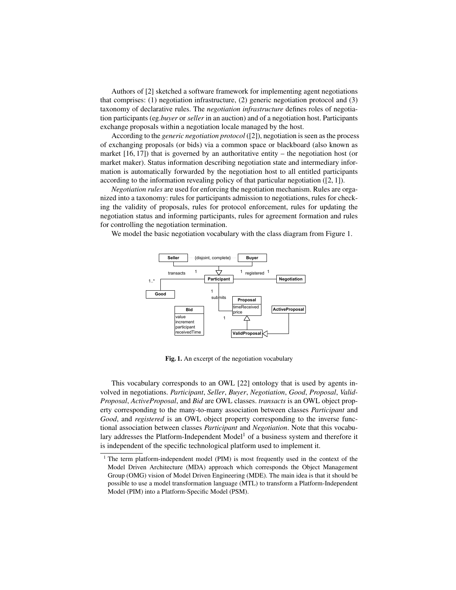Authors of [2] sketched a software framework for implementing agent negotiations that comprises: (1) negotiation infrastructure, (2) generic negotiation protocol and (3) taxonomy of declarative rules. The *negotiation infrastructure* defines roles of negotiation participants (eg.*buyer* or *seller* in an auction) and of a negotiation host. Participants exchange proposals within a negotiation locale managed by the host.

According to the *generic negotiation protocol* ([2]), negotiation is seen as the process of exchanging proposals (or bids) via a common space or blackboard (also known as market  $[16, 17]$ ) that is governed by an authoritative entity – the negotiation host (or market maker). Status information describing negotiation state and intermediary information is automatically forwarded by the negotiation host to all entitled participants according to the information revealing policy of that particular negotiation ([2, 1]).

*Negotiation rules* are used for enforcing the negotiation mechanism. Rules are organized into a taxonomy: rules for participants admission to negotiations, rules for checking the validity of proposals, rules for protocol enforcement, rules for updating the negotiation status and informing participants, rules for agreement formation and rules for controlling the negotiation termination.

We model the basic negotiation vocabulary with the class diagram from Figure 1.



Fig. 1. An excerpt of the negotiation vocabulary

This vocabulary corresponds to an OWL [22] ontology that is used by agents involved in negotiations. *Participant*, *Seller*, *Buyer*, *Negotiation*, *Good*, *Proposal*, *Valid-Proposal*, *ActiveProposal*, and *Bid* are OWL classes. *transacts* is an OWL object property corresponding to the many-to-many association between classes *Participant* and *Good*, and *registered* is an OWL object property corresponding to the inverse functional association between classes *Participant* and *Negotiation*. Note that this vocabulary addresses the Platform-Independent Model<sup>1</sup> of a business system and therefore it is independent of the specific technological platform used to implement it.

<sup>&</sup>lt;sup>1</sup> The term platform-independent model (PIM) is most frequently used in the context of the Model Driven Architecture (MDA) approach which corresponds the Object Management Group (OMG) vision of Model Driven Engineering (MDE). The main idea is that it should be possible to use a model transformation language (MTL) to transform a Platform-Independent Model (PIM) into a Platform-Specific Model (PSM).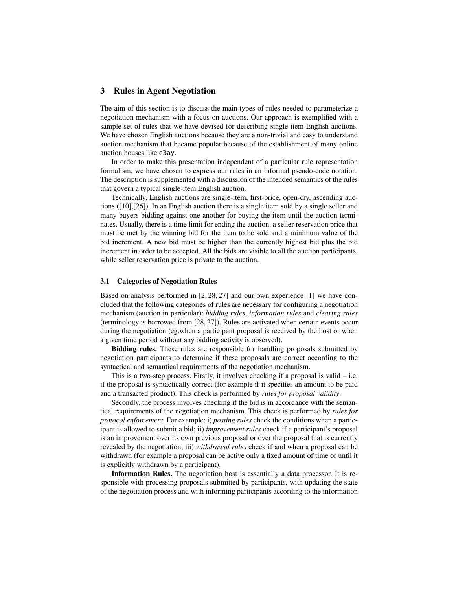### 3 Rules in Agent Negotiation

The aim of this section is to discuss the main types of rules needed to parameterize a negotiation mechanism with a focus on auctions. Our approach is exemplified with a sample set of rules that we have devised for describing single-item English auctions. We have chosen English auctions because they are a non-trivial and easy to understand auction mechanism that became popular because of the establishment of many online auction houses like eBay.

In order to make this presentation independent of a particular rule representation formalism, we have chosen to express our rules in an informal pseudo-code notation. The description is supplemented with a discussion of the intended semantics of the rules that govern a typical single-item English auction.

Technically, English auctions are single-item, first-price, open-cry, ascending auctions ([10],[26]). In an English auction there is a single item sold by a single seller and many buyers bidding against one another for buying the item until the auction terminates. Usually, there is a time limit for ending the auction, a seller reservation price that must be met by the winning bid for the item to be sold and a minimum value of the bid increment. A new bid must be higher than the currently highest bid plus the bid increment in order to be accepted. All the bids are visible to all the auction participants, while seller reservation price is private to the auction.

#### 3.1 Categories of Negotiation Rules

Based on analysis performed in [2, 28, 27] and our own experience [1] we have concluded that the following categories of rules are necessary for configuring a negotiation mechanism (auction in particular): *bidding rules*, *information rules* and *clearing rules* (terminology is borrowed from [28, 27]). Rules are activated when certain events occur during the negotiation (eg.when a participant proposal is received by the host or when a given time period without any bidding activity is observed).

Bidding rules. These rules are responsible for handling proposals submitted by negotiation participants to determine if these proposals are correct according to the syntactical and semantical requirements of the negotiation mechanism.

This is a two-step process. Firstly, it involves checking if a proposal is valid  $-$  i.e. if the proposal is syntactically correct (for example if it specifies an amount to be paid and a transacted product). This check is performed by *rules for proposal validity*.

Secondly, the process involves checking if the bid is in accordance with the semantical requirements of the negotiation mechanism. This check is performed by *rules for protocol enforcement*. For example: i) *posting rules* check the conditions when a participant is allowed to submit a bid; ii) *improvement rules* check if a participant's proposal is an improvement over its own previous proposal or over the proposal that is currently revealed by the negotiation; iii) *withdrawal rules* check if and when a proposal can be withdrawn (for example a proposal can be active only a fixed amount of time or until it is explicitly withdrawn by a participant).

Information Rules. The negotiation host is essentially a data processor. It is responsible with processing proposals submitted by participants, with updating the state of the negotiation process and with informing participants according to the information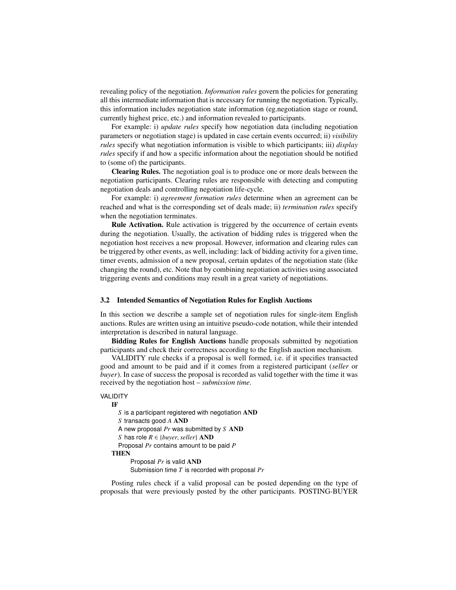revealing policy of the negotiation. *Information rules* govern the policies for generating all this intermediate information that is necessary for running the negotiation. Typically, this information includes negotiation state information (eg.negotiation stage or round, currently highest price, etc.) and information revealed to participants.

For example: i) *update rules* specify how negotiation data (including negotiation parameters or negotiation stage) is updated in case certain events occurred; ii) *visibility rules* specify what negotiation information is visible to which participants; iii) *display rules* specify if and how a specific information about the negotiation should be notified to (some of) the participants.

Clearing Rules. The negotiation goal is to produce one or more deals between the negotiation participants. Clearing rules are responsible with detecting and computing negotiation deals and controlling negotiation life-cycle.

For example: i) *agreement formation rules* determine when an agreement can be reached and what is the corresponding set of deals made; ii) *termination rules* specify when the negotiation terminates.

Rule Activation. Rule activation is triggered by the occurrence of certain events during the negotiation. Usually, the activation of bidding rules is triggered when the negotiation host receives a new proposal. However, information and clearing rules can be triggered by other events, as well, including: lack of bidding activity for a given time, timer events, admission of a new proposal, certain updates of the negotiation state (like changing the round), etc. Note that by combining negotiation activities using associated triggering events and conditions may result in a great variety of negotiations.

#### 3.2 Intended Semantics of Negotiation Rules for English Auctions

In this section we describe a sample set of negotiation rules for single-item English auctions. Rules are written using an intuitive pseudo-code notation, while their intended interpretation is described in natural language.

Bidding Rules for English Auctions handle proposals submitted by negotiation participants and check their correctness according to the English auction mechanism.

VALIDITY rule checks if a proposal is well formed, i.e. if it specifies transacted good and amount to be paid and if it comes from a registered participant (*seller* or *buyer*). In case of success the proposal is recorded as valid together with the time it was received by the negotiation host – *submission time*.

#### **VALIDITY** IF

*S* is a participant registered with negotiation AND *S* transacts good *A* AND A new proposal *Pr* was submitted by *S* AND *S* has role  $R \in \{ buyer, seller\}$  AND Proposal *Pr* contains amount to be paid *P* **THEN** Proposal *Pr* is valid AND

Submission time *T* is recorded with proposal *Pr*

Posting rules check if a valid proposal can be posted depending on the type of proposals that were previously posted by the other participants. POSTING-BUYER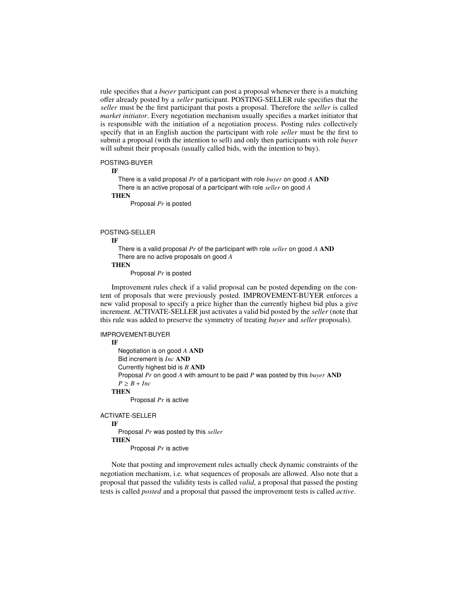rule specifies that a *buyer* participant can post a proposal whenever there is a matching offer already posted by a *seller* participant. POSTING-SELLER rule specifies that the *seller* must be the first participant that posts a proposal. Therefore the *seller* is called *market initiator*. Every negotiation mechanism usually specifies a market initiator that is responsible with the initiation of a negotiation process. Posting rules collectively specify that in an English auction the participant with role *seller* must be the first to submit a proposal (with the intention to sell) and only then participants with role *buyer* will submit their proposals (usually called bids, with the intention to buy).

#### POSTING-BUYER

IF

There is a valid proposal *Pr* of a participant with role *buyer* on good *A* AND There is an active proposal of a participant with role *seller* on good *A*

### **THEN**

Proposal *Pr* is posted

#### POSTING-SELLER

### IF

There is a valid proposal *Pr* of the participant with role *seller* on good *A* AND There are no active proposals on good *A*

#### **THEN**

Proposal *Pr* is posted

Improvement rules check if a valid proposal can be posted depending on the content of proposals that were previously posted. IMPROVEMENT-BUYER enforces a new valid proposal to specify a price higher than the currently highest bid plus a give increment. ACTIVATE-SELLER just activates a valid bid posted by the *seller* (note that this rule was added to preserve the symmetry of treating *buyer* and *seller* proposals).

### IMPROVEMENT-BUYER

IF

Negotiation is on good *A* AND Bid increment is *Inc* AND Currently highest bid is *B* AND Proposal *Pr* on good *A* with amount to be paid *P* was posted by this *buyer* AND  $P > B + Inc$ **THEN** Proposal *Pr* is active

ACTIVATE-SELLER

# IF

Proposal *Pr* was posted by this *seller* **THEN** Proposal *Pr* is active

Note that posting and improvement rules actually check dynamic constraints of the negotiation mechanism, i.e. what sequences of proposals are allowed. Also note that a proposal that passed the validity tests is called *valid*, a proposal that passed the posting tests is called *posted* and a proposal that passed the improvement tests is called *active*.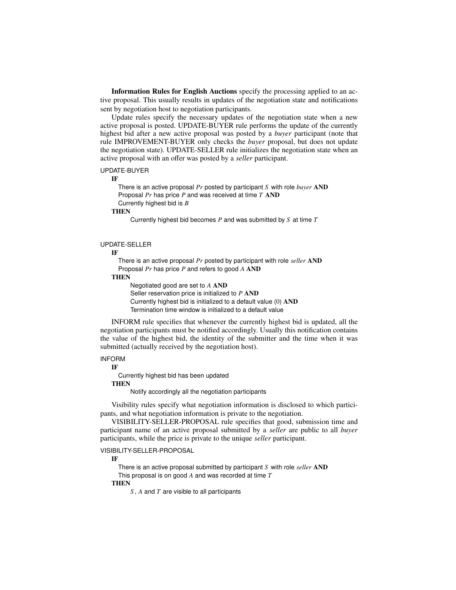Information Rules for English Auctions specify the processing applied to an active proposal. This usually results in updates of the negotiation state and notifications sent by negotiation host to negotiation participants.

Update rules specify the necessary updates of the negotiation state when a new active proposal is posted. UPDATE-BUYER rule performs the update of the currently highest bid after a new active proposal was posted by a *buyer* participant (note that rule IMPROVEMENT-BUYER only checks the *buyer* proposal, but does not update the negotiation state). UPDATE-SELLER rule initializes the negotiation state when an active proposal with an offer was posted by a *seller* participant.

#### UPDATE-BUYER

IF

There is an active proposal *Pr* posted by participant *S* with role *buyer* AND Proposal *Pr* has price *P* and was received at time *T* AND Currently highest bid is *B*

#### **THEN**

Currently highest bid becomes *P* and was submitted by *S* at time *T*

#### UPDATE-SELLER

#### IF

There is an active proposal *Pr* posted by participant with role *seller* AND Proposal *Pr* has price *P* and refers to good *A* AND

#### **THEN**

Negotiated good are set to *A* AND Seller reservation price is initialized to *P* AND Currently highest bid is initialized to a default value (0) AND Termination time window is initialized to a default value

INFORM rule specifies that whenever the currently highest bid is updated, all the negotiation participants must be notified accordingly. Usually this notification contains the value of the highest bid, the identity of the submitter and the time when it was submitted (actually received by the negotiation host).

### INFORM

IF

Currently highest bid has been updated

### **THEN**

Notify accordingly all the negotiation participants

Visibility rules specify what negotiation information is disclosed to which participants, and what negotiation information is private to the negotiation.

VISIBILITY-SELLER-PROPOSAL rule specifies that good, submission time and participant name of an active proposal submitted by a *seller* are public to all *buyer* participants, while the price is private to the unique *seller* participant.

### VISIBILITY-SELLER-PROPOSAL

IF

There is an active proposal submitted by participant *S* with role *seller* AND This proposal is on good *A* and was recorded at time *T*

### **THEN**

*S* , *A* and *T* are visible to all participants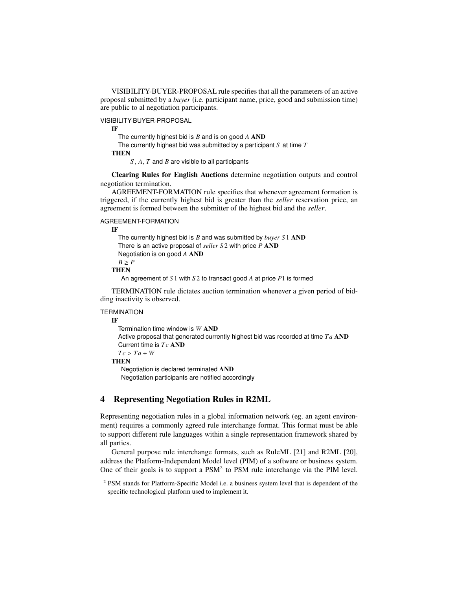VISIBILITY-BUYER-PROPOSAL rule specifies that all the parameters of an active proposal submitted by a *buyer* (i.e. participant name, price, good and submission time) are public to al negotiation participants.

### VISIBILITY-BUYER-PROPOSAL

IF

The currently highest bid is *B* and is on good *A* AND

The currently highest bid was submitted by a participant *S* at time *T*

**THEN** 

*S* , *A*, *T* and *B* are visible to all participants

Clearing Rules for English Auctions determine negotiation outputs and control negotiation termination.

AGREEMENT-FORMATION rule specifies that whenever agreement formation is triggered, if the currently highest bid is greater than the *seller* reservation price, an agreement is formed between the submitter of the highest bid and the *seller*.

# AGREEMENT-FORMATION

IF

```
The currently highest bid is B and was submitted by buyer S 1 AND
  There is an active proposal of seller S 2 with price P AND
  Negotiation is on good A AND
  B ≥ P
THEN
   An agreement of S 1 with S 2 to transact good A at price P1 is formed
```
TERMINATION rule dictates auction termination whenever a given period of bidding inactivity is observed.

### **TERMINATION**

IF

```
Termination time window is W AND
  Active proposal that generated currently highest bid was recorded at time T a AND
  Current time is T c AND
  T c > T a + WTHEN
   Negotiation is declared terminated AND
   Negotiation participants are notified accordingly
```
## 4 Representing Negotiation Rules in R2ML

Representing negotiation rules in a global information network (eg. an agent environment) requires a commonly agreed rule interchange format. This format must be able to support different rule languages within a single representation framework shared by all parties.

General purpose rule interchange formats, such as RuleML [21] and R2ML [20], address the Platform-Independent Model level (PIM) of a software or business system. One of their goals is to support a  $PSM<sup>2</sup>$  to PSM rule interchange via the PIM level.

<sup>&</sup>lt;sup>2</sup> PSM stands for Platform-Specific Model i.e. a business system level that is dependent of the specific technological platform used to implement it.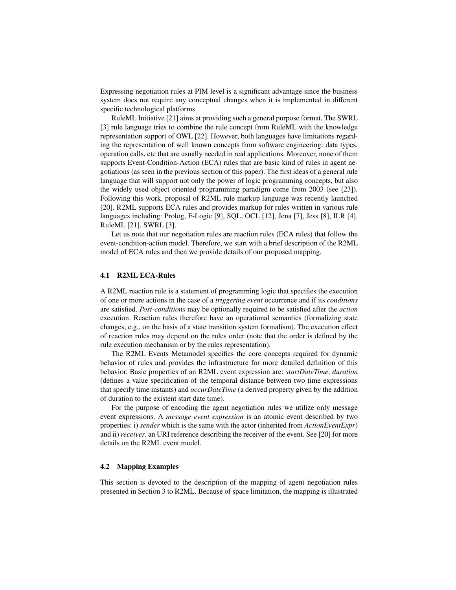Expressing negotiation rules at PIM level is a significant advantage since the business system does not require any conceptual changes when it is implemented in different specific technological platforms.

RuleML Initiative [21] aims at providing such a general purpose format. The SWRL [3] rule language tries to combine the rule concept from RuleML with the knowledge representation support of OWL [22]. However, both languages have limitations regarding the representation of well known concepts from software engineering: data types, operation calls, etc that are usually needed in real applications. Moreover, none of them supports Event-Condition-Action (ECA) rules that are basic kind of rules in agent negotiations (as seen in the previous section of this paper). The first ideas of a general rule language that will support not only the power of logic programming concepts, but also the widely used object oriented programming paradigm come from 2003 (see [23]). Following this work, proposal of R2ML rule markup language was recently launched [20]. R2ML supports ECA rules and provides markup for rules written in various rule languages including: Prolog, F-Logic [9], SQL, OCL [12], Jena [7], Jess [8], ILR [4], RuleML [21], SWRL [3].

Let us note that our negotiation rules are reaction rules (ECA rules) that follow the event-condition-action model. Therefore, we start with a brief description of the R2ML model of ECA rules and then we provide details of our proposed mapping.

### 4.1 R2ML ECA-Rules

A R2ML reaction rule is a statement of programming logic that specifies the execution of one or more actions in the case of a *triggering event* occurrence and if its *conditions* are satisfied. *Post-conditions* may be optionally required to be satisfied after the *action* execution. Reaction rules therefore have an operational semantics (formalizing state changes, e.g., on the basis of a state transition system formalism). The execution effect of reaction rules may depend on the rules order (note that the order is defined by the rule execution mechanism or by the rules representation).

The R2ML Events Metamodel specifies the core concepts required for dynamic behavior of rules and provides the infrastructure for more detailed definition of this behavior. Basic properties of an R2ML event expression are: *startDateTime*, *duration* (defines a value specification of the temporal distance between two time expressions that specify time instants) and *occurDateTime* (a derived property given by the addition of duration to the existent start date time).

For the purpose of encoding the agent negotiation rules we utilize only message event expressions. A *message event expression* is an atomic event described by two properties: i) *sender* which is the same with the actor (inherited from *ActionEventExpr*) and ii) *receiver*, an URI reference describing the receiver of the event. See [20] for more details on the R2ML event model.

### 4.2 Mapping Examples

This section is devoted to the description of the mapping of agent negotiation rules presented in Section 3 to R2ML. Because of space limitation, the mapping is illustrated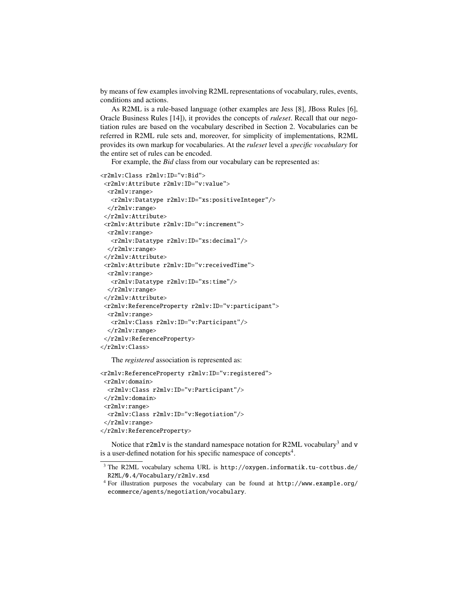by means of few examples involving R2ML representations of vocabulary, rules, events, conditions and actions.

As R2ML is a rule-based language (other examples are Jess [8], JBoss Rules [6], Oracle Business Rules [14]), it provides the concepts of *ruleset*. Recall that our negotiation rules are based on the vocabulary described in Section 2. Vocabularies can be referred in R2ML rule sets and, moreover, for simplicity of implementations, R2ML provides its own markup for vocabularies. At the *ruleset* level a *specific vocabulary* for the entire set of rules can be encoded.

For example, the *Bid* class from our vocabulary can be represented as:

```
<r2mlv:Class r2mlv:ID="v:Bid">
 <r2mlv:Attribute r2mlv:ID="v:value">
  <r2mlv:range>
   <r2mlv:Datatype r2mlv:ID="xs:positiveInteger"/>
  \langler2mlv:range>
 </r2mlv:Attribute>
 <r2mlv:Attribute r2mlv:ID="v:increment">
  <r2mlv:range>
  <r2mlv:Datatype r2mlv:ID="xs:decimal"/>
 \langler2mlv:range>
 </r2mlv:Attribute>
 <r2mlv:Attribute r2mlv:ID="v:receivedTime">
  <r2mlv:range>
  <r2mlv:Datatype r2mlv:ID="xs:time"/>
 \langler2mlv:range>
 </r2mlv:Attribute>
 <r2mlv:ReferenceProperty r2mlv:ID="v:participant">
  <r2mlv:range>
   <r2mlv:Class r2mlv:ID="v:Participant"/>
  \langler2mlv:range>
 </r2mlv:ReferenceProperty>
</r2mlv:Class>
```
The *registered* association is represented as:

```
<r2mlv:ReferenceProperty r2mlv:ID="v:registered">
 <r2mlv:domain>
  <r2mlv:Class r2mlv:ID="v:Participant"/>
 \langle/r2mlv:domain>
 <r2mlv:range>
  <r2mlv:Class r2mlv:ID="v:Negotiation"/>
 \langler2mlv:range>
</r2mlv:ReferenceProperty>
```
Notice that  $r2m1v$  is the standard namespace notation for R2ML vocabulary<sup>3</sup> and v is a user-defined notation for his specific namespace of concepts<sup>4</sup>.

<sup>&</sup>lt;sup>3</sup> The R2ML vocabulary schema URL is http://oxygen.informatik.tu-cottbus.de/ R2ML/0.4/Vocabulary/r2mlv.xsd

<sup>4</sup> For illustration purposes the vocabulary can be found at http://www.example.org/ ecommerce/agents/negotiation/vocabulary.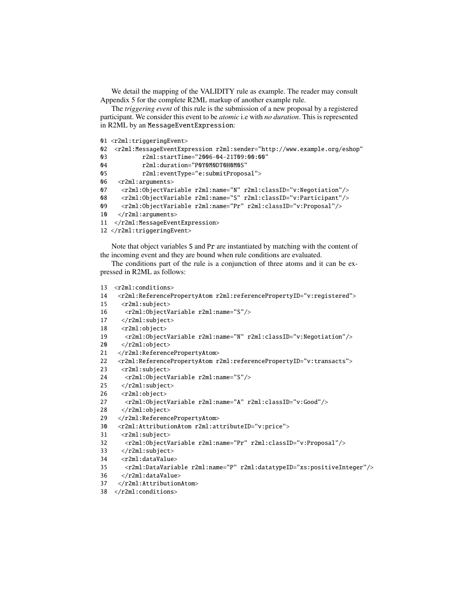We detail the mapping of the VALIDITY rule as example. The reader may consult Appendix 5 for the complete R2ML markup of another example rule.

The *triggering event* of this rule is the submission of a new proposal by a registered participant. We consider this event to be *atomic* i.e with *no duration*. This is represented in R2ML by an MessageEventExpression:

```
01 <r2ml:triggeringEvent>
```

```
02 <r2ml:MessageEventExpression r2ml:sender="http://www.example.org/eshop"
03 r2ml:startTime="2006-04-21T09:00:00"
04 r2ml:duration="P0Y0M0DT0H0M0S"
05 r2ml:eventType="e:submitProposal">
06 <r2ml:arguments>
07 <r2ml:ObjectVariable r2ml:name="N" r2ml:classID="v:Negotiation"/>
08 <r2ml:ObjectVariable r2ml:name="S" r2ml:classID="v:Participant"/>
09 <r2ml:ObjectVariable r2ml:name="Pr" r2ml:classID="v:Proposal"/>
10 </r2ml:arguments>
11 </r2ml:MessageEventExpression>
12 </r2ml:triggeringEvent>
```
Note that object variables S and Pr are instantiated by matching with the content of the incoming event and they are bound when rule conditions are evaluated.

The conditions part of the rule is a conjunction of three atoms and it can be expressed in R2ML as follows:

```
13 <r2ml:conditions>
14 <r2ml:ReferencePropertyAtom r2ml:referencePropertyID="v:registered">
15 <r2ml:subject>
16 <r2ml:ObjectVariable r2ml:name="S"/>
17 </r2ml:subject>
18 <r2ml:object>
19 <r2ml:ObjectVariable r2ml:name="N" r2ml:classID="v:Negotiation"/>
20 </r2ml:object>
21 </r2ml:ReferencePropertyAtom>
22 <r2ml:ReferencePropertyAtom r2ml:referencePropertyID="v:transacts">
23 <r2ml:subject>
24 <r2ml:ObjectVariable r2ml:name="S"/>
25 \quad \langle r2ml:subject \rangle26 <r2ml:object>
27 <r2ml:ObjectVariable r2ml:name="A" r2ml:classID="v:Good"/>
28 </r2ml:object>
29 </r2ml:ReferencePropertyAtom>
30 <r2ml:AttributionAtom r2ml:attributeID="v:price">
31 <r2ml:subject>
32 <r2ml:ObjectVariable r2ml:name="Pr" r2ml:classID="v:Proposal"/>
33 </r2ml:subject>
34 <r2ml:dataValue>
35 <r2ml:DataVariable r2ml:name="P" r2ml:datatypeID="xs:positiveInteger"/>
36 </r2ml:dataValue>
37 </r2ml:AttributionAtom>
38 </r2ml:conditions>
```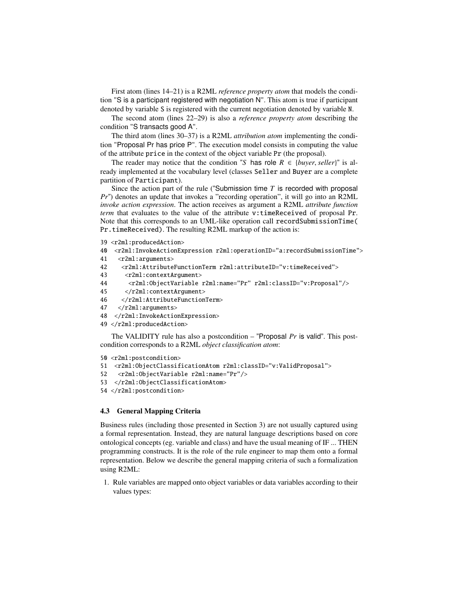First atom (lines 14–21) is a R2ML *reference property atom* that models the condition "S is a participant registered with negotiation N". This atom is true if participant denoted by variable S is registered with the current negotiation denoted by variable N.

The second atom (lines 22–29) is also a *reference property atom* describing the condition "S transacts good A".

The third atom (lines 30–37) is a R2ML *attribution atom* implementing the condition "Proposal Pr has price P". The execution model consists in computing the value of the attribute price in the context of the object variable Pr (the proposal).

The reader may notice that the condition "*S* has role  $R \in \{buver, seller\}$ " is already implemented at the vocabulary level (classes Seller and Buyer are a complete partition of Participant).

Since the action part of the rule ("Submission time *T* is recorded with proposal *Pr*") denotes an update that invokes a "recording operation", it will go into an R2ML *invoke action expression*. The action receives as argument a R2ML *attribute function term* that evaluates to the value of the attribute v:timeReceived of proposal Pr. Note that this corresponds to an UML-like operation call recordSubmissionTime( Pr.timeReceived). The resulting R2ML markup of the action is:

- 39 <r2ml:producedAction>
- 40 <r2ml:InvokeActionExpression r2ml:operationID="a:recordSubmissionTime">
- 41 <r2ml:arguments>
- 42 <r2ml:AttributeFunctionTerm r2ml:attributeID="v:timeReceived">
- 43 <r2ml:contextArgument>
- 44 <r2ml:ObjectVariable r2ml:name="Pr" r2ml:classID="v:Proposal"/>
- 45 </r2ml:contextArgument>
- 46 </r2ml:AttributeFunctionTerm>
- 47 </r2ml:arguments>
- 48 </r2ml:InvokeActionExpression>
- 49 </r2ml:producedAction>

The VALIDITY rule has also a postcondition – "Proposal *Pr* is valid". This postcondition corresponds to a R2ML *object classification atom*:

```
50 <r2ml:postcondition>
```

```
51 <r2ml:ObjectClassificationAtom r2ml:classID="v:ValidProposal">
```
- 52 <r2ml:ObjectVariable r2ml:name="Pr"/>
- 53 </r2ml:ObjectClassificationAtom>
- 54 </r2ml:postcondition>

### 4.3 General Mapping Criteria

Business rules (including those presented in Section 3) are not usually captured using a formal representation. Instead, they are natural language descriptions based on core ontological concepts (eg. variable and class) and have the usual meaning of IF ... THEN programming constructs. It is the role of the rule engineer to map them onto a formal representation. Below we describe the general mapping criteria of such a formalization using R2ML:

1. Rule variables are mapped onto object variables or data variables according to their values types: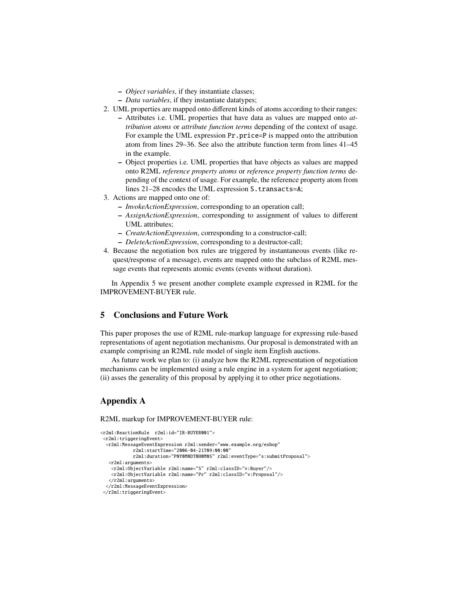- *Object variables*, if they instantiate classes;
- *Data variables*, if they instantiate datatypes;
- 2. UML properties are mapped onto different kinds of atoms according to their ranges:
	- Attributes i.e. UML properties that have data as values are mapped onto *attribution atoms* or *attribute function terms* depending of the context of usage. For example the UML expression Pr.price=P is mapped onto the attribution atom from lines 29–36. See also the attribute function term from lines 41–45 in the example.
	- Object properties i.e. UML properties that have objects as values are mapped onto R2ML *reference property atoms* or *reference property function terms* depending of the context of usage. For example, the reference property atom from lines 21–28 encodes the UML expression S.transacts=A;
- 3. Actions are mapped onto one of:
	- *InvokeActionExpression*, corresponding to an operation call;
	- *AssignActionExpression*, corresponding to assignment of values to different UML attributes;
	- *CreateActionExpression*, corresponding to a constructor-call;
	- *DeleteActionExpression*, corresponding to a destructor-call;
- 4. Because the negotiation box rules are triggered by instantaneous events (like request/response of a message), events are mapped onto the subclass of R2ML message events that represents atomic events (events without duration).

In Appendix 5 we present another complete example expressed in R2ML for the IMPROVEMENT-BUYER rule.

# 5 Conclusions and Future Work

This paper proposes the use of R2ML rule-markup language for expressing rule-based representations of agent negotiation mechanisms. Our proposal is demonstrated with an example comprising an R2ML rule model of single item English auctions.

As future work we plan to: (i) analyze how the R2ML representation of negotiation mechanisms can be implemented using a rule engine in a system for agent negotiation; (ii) asses the generality of this proposal by applying it to other price negotiations.

# Appendix A

R2ML markup for IMPROVEMENT-BUYER rule:

```
<r2ml:ReactionRule r2ml:id="IR-BUYER001">
 <r2ml:triggeringEvent>
  <r2ml:MessageEventExpression r2ml:sender="www.example.org/eshop"
           r2ml:startTime="2006-04-21T09:00:00"
           r2ml:duration="P0Y0M0DT0H0M0S" r2ml:eventType="s:submitProposal">
  <r2ml:arguments>
   <r2ml:ObjectVariable r2ml:name="S" r2ml:classID="v:Buyer"/>
   <r2ml:ObjectVariable r2ml:name="Pr" r2ml:classID="v:Proposal"/>
  </r2ml:arguments>
  </r2ml:MessageEventExpression>
 </r2ml:triggeringEvent>
```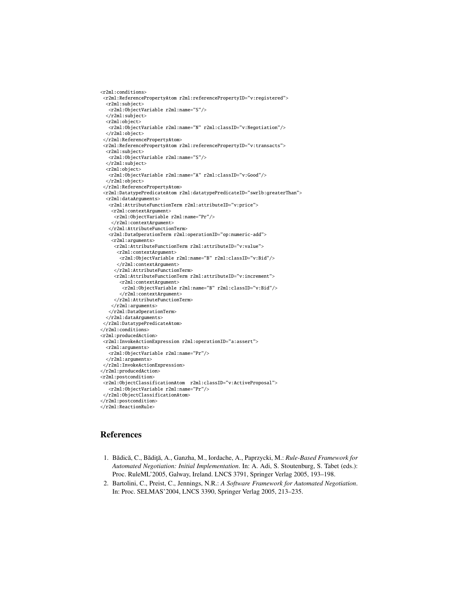```
<r2ml:conditions>
 <r2ml:ReferencePropertyAtom r2ml:referencePropertyID="v:registered">
 <r2ml:subject>
  <r2ml:ObjectVariable r2ml:name="S"/>
  </r2ml:subject>
 <r2ml:object>
  <r2ml:ObjectVariable r2ml:name="N" r2ml:classID="v:Negotiation"/>
  </r2ml:object>
 </r2ml:ReferencePropertyAtom>
 <r2ml:ReferencePropertyAtom r2ml:referencePropertyID="v:transacts">
 <r2ml:subject>
  <r2ml:ObjectVariable r2ml:name="S"/>
 </r2ml:subject>
 <r2ml:object>
  <r2ml:ObjectVariable r2ml:name="A" r2ml:classID="v:Good"/>
 </r2ml:object>
 </r2ml:ReferencePropertyAtom>
 <r2ml:DatatypePredicateAtom r2ml:datatypePredicateID="swrlb:greaterThan">
 <r2ml:dataArguments>
  <r2ml:AttributeFunctionTerm r2ml:attributeID="v:price">
   <r2ml:contextArgument>
    <r2ml:ObjectVariable r2ml:name="Pr"/>
   </r2ml:contextArgument>
  </r2ml:AttributeFunctionTerm>
  <r2ml:DataOperationTerm r2ml:operationID="op:numeric-add">
   <r2ml:arguments>
     <r2ml:AttributeFunctionTerm r2ml:attributeID="v:value">
      <r2ml:contextArgument>
       <r2ml:ObjectVariable r2ml:name="B" r2ml:classID="v:Bid"/>
     </r2ml:contextArgument>
     </r2ml:AttributeFunctionTerm>
     <r2ml:AttributeFunctionTerm r2ml:attributeID="v:increment">
      <r2ml:contextArgument>
       <r2ml:ObjectVariable r2ml:name="B" r2ml:classID="v:Bid"/>
       </r2ml:contextArgument>
     </r2ml:AttributeFunctionTerm>
   \langler2ml:arguments>
  </r2ml:DataOperationTerm>
  </r2ml:dataArguments>
 </r2ml:DatatypePredicateAtom>
</r2ml:conditions>
<r2ml:producedAction>
 <r2ml:InvokeActionExpression r2ml:operationID="a:assert">
  <r2ml:arguments>
   <r2ml:ObjectVariable r2ml:name="Pr"/>
  </r2ml:arguments>
 </r2ml:InvokeActionExpression>
</r2ml:producedAction>
<r2ml:postcondition>
 <r2ml:ObjectClassificationAtom r2ml:classID="v:ActiveProposal">
   <r2ml:ObjectVariable r2ml:name="Pr"/>
 </r2ml:ObjectClassificationAtom>
</r2ml:postcondition>
</r2ml:ReactionRule>
```
### References

- 1. Bădică, C., Bădiță, A., Ganzha, M., Iordache, A., Paprzycki, M.: Rule-Based Framework for *Automated Negotiation: Initial Implementation*. In: A. Adi, S. Stoutenburg, S. Tabet (eds.): Proc. RuleML'2005, Galway, Ireland. LNCS 3791, Springer Verlag 2005, 193–198.
- 2. Bartolini, C., Preist, C., Jennings, N.R.: *A Software Framework for Automated Negotiation*. In: Proc. SELMAS'2004, LNCS 3390, Springer Verlag 2005, 213–235.